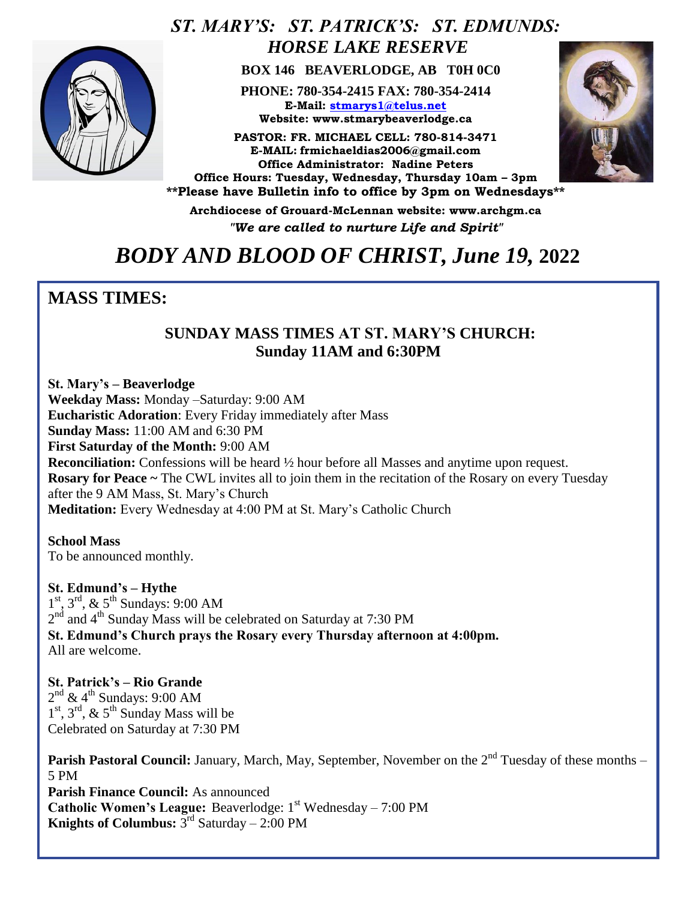

### *ST. MARY'S: ST. PATRICK'S: ST. EDMUNDS: HORSE LAKE RESERVE*

 **BOX 146 BEAVERLODGE, AB T0H 0C0**

**PHONE: 780-354-2415 FAX: 780-354-2414 E-Mail: [stmarys1@telus.net](mailto:stmarys1@telus.net) Website: www.stmarybeaverlodge.ca**

**PASTOR: FR. MICHAEL CELL: 780-814-3471 E-MAIL: frmichaeldias2006@gmail.com Office Administrator: Nadine Peters Office Hours: Tuesday, Wednesday, Thursday 10am – 3pm \*\*Please have Bulletin info to office by 3pm on Wednesdays\*\*** 



**Archdiocese of Grouard-McLennan website: www.archgm.ca** *"We are called to nurture Life and Spirit"*

# *BODY AND BLOOD OF CHRIST, June 19,* **2022**

### **MASS TIMES:**

#### **SUNDAY MASS TIMES AT ST. MARY'S CHURCH: Sunday 11AM and 6:30PM**

**St. Mary's – Beaverlodge Weekday Mass:** Monday –Saturday: 9:00 AM **Eucharistic Adoration**: Every Friday immediately after Mass **Sunday Mass:** 11:00 AM and 6:30 PM **First Saturday of the Month:** 9:00 AM **Reconciliation:** Confessions will be heard  $\frac{1}{2}$  hour before all Masses and anytime upon request. **Rosary for Peace ~** The CWL invites all to join them in the recitation of the Rosary on every Tuesday after the 9 AM Mass, St. Mary's Church **Meditation:** Every Wednesday at 4:00 PM at St. Mary's Catholic Church

**School Mass** To be announced monthly.

**St. Edmund's – Hythe**  1<sup>st</sup>, 3<sup>rd</sup>, & 5<sup>th</sup> Sundays: 9:00 AM  $2<sup>nd</sup>$  and 4<sup>th</sup> Sunday Mass will be celebrated on Saturday at 7:30 PM **St. Edmund's Church prays the Rosary every Thursday afternoon at 4:00pm.**  All are welcome.

**St. Patrick's – Rio Grande**   $2<sup>nd</sup>$  & 4<sup>th</sup> Sundays: 9:00 AM  $1<sup>st</sup>$ ,  $3<sup>rd</sup>$ ,  $\&$   $5<sup>th</sup>$  Sunday Mass will be Celebrated on Saturday at 7:30 PM

**Parish Pastoral Council:** January, March, May, September, November on the 2<sup>nd</sup> Tuesday of these months – 5 PM **Parish Finance Council:** As announced **Catholic Women's League:** Beaverlodge: 1<sup>st</sup> Wednesday – 7:00 PM **Knights of Columbus:**  $3^{rd}$  Saturday  $- 2:00$  PM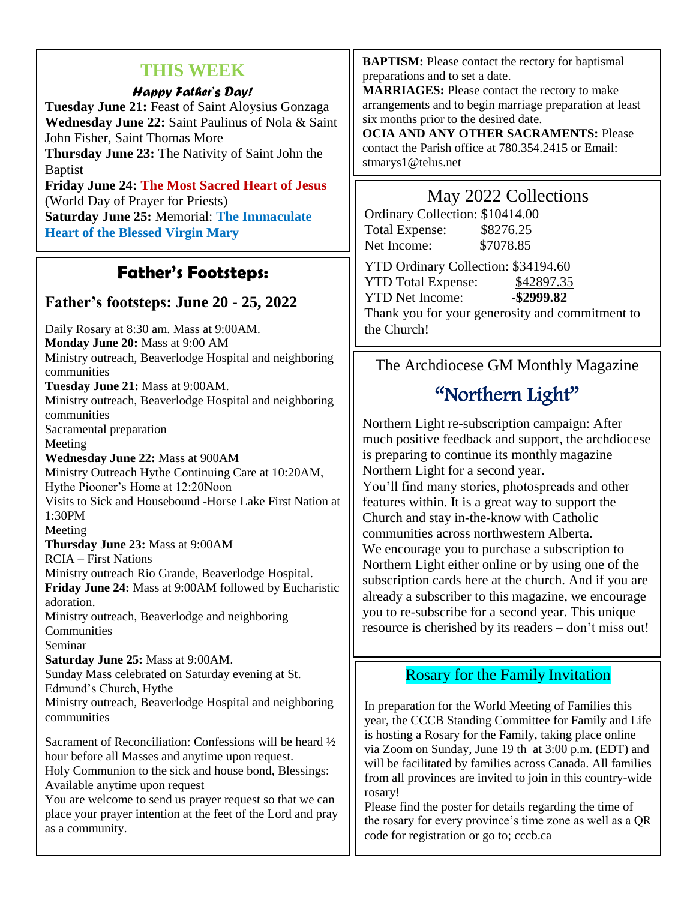#### **THIS WEEK**

#### *Happy Father's Day!*

**Tuesday June 21:** Feast of Saint Aloysius Gonzaga **Wednesday June 22:** Saint Paulinus of Nola & Saint John Fisher, Saint Thomas More **Thursday June 23:** The Nativity of Saint John the Baptist **Friday June 24: The Most Sacred Heart of Jesus**

(World Day of Prayer for Priests) **Saturday June 25:** Memorial: **The Immaculate Heart of the Blessed Virgin Mary**

### **Father's Footsteps:**

#### **Father's footsteps: June 20 - 25, 2022**

Daily Rosary at 8:30 am. Mass at 9:00AM. **Monday June 20:** Mass at 9:00 AM Ministry outreach, Beaverlodge Hospital and neighboring communities **Tuesday June 21:** Mass at 9:00AM. Ministry outreach, Beaverlodge Hospital and neighboring communities Sacramental preparation Meeting **Wednesday June 22:** Mass at 900AM Ministry Outreach Hythe Continuing Care at 10:20AM, Hythe Piooner's Home at 12:20Noon Visits to Sick and Housebound -Horse Lake First Nation at 1:30PM Meeting **Thursday June 23:** Mass at 9:00AM RCIA – First Nations Ministry outreach Rio Grande, Beaverlodge Hospital. **Friday June 24:** Mass at 9:00AM followed by Eucharistic adoration. Ministry outreach, Beaverlodge and neighboring Communities Seminar **Saturday June 25:** Mass at 9:00AM. Sunday Mass celebrated on Saturday evening at St. Edmund's Church, Hythe Ministry outreach, Beaverlodge Hospital and neighboring communities Sacrament of Reconciliation: Confessions will be heard ½ hour before all Masses and anytime upon request. Holy Communion to the sick and house bond, Blessings: Available anytime upon request

You are welcome to send us prayer request so that we can place your prayer intention at the feet of the Lord and pray as a community.

**BAPTISM:** Please contact the rectory for baptismal preparations and to set a date.

**MARRIAGES:** Please contact the rectory to make arrangements and to begin marriage preparation at least six months prior to the desired date.

**OCIA AND ANY OTHER SACRAMENTS:** Please contact the Parish office at 780.354.2415 or Email: stmarys1@telus.net

#### May 2022 Collections

| Ordinary Collection: \$10414.00 |           |
|---------------------------------|-----------|
| Total Expense:                  | \$8276.25 |
| Net Income:                     | \$7078.85 |

YTD Ordinary Collection: \$34194.60 YTD Total Expense: \$42897.35 YTD Net Income: **-\$2999.82** Thank you for your generosity and commitment to the Church!

#### The Archdiocese GM Monthly Magazine

# "Northern Light"

Northern Light re-subscription campaign: After much positive feedback and support, the archdiocese is preparing to continue its monthly magazine Northern Light for a second year.

You'll find many stories, photospreads and other features within. It is a great way to support the Church and stay in-the-know with Catholic communities across northwestern Alberta. We encourage you to purchase a subscription to Northern Light either online or by using one of the subscription cards here at the church. And if you are already a subscriber to this magazine, we encourage you to re-subscribe for a second year. This unique resource is cherished by its readers – don't miss out!

#### Rosary for the Family Invitation

In preparation for the World Meeting of Families this year, the CCCB Standing Committee for Family and Life is hosting a Rosary for the Family, taking place online via Zoom on Sunday, June 19 th at 3:00 p.m. (EDT) and will be facilitated by families across Canada. All families from all provinces are invited to join in this country-wide rosary!

Please find the poster for details regarding the time of the rosary for every province's time zone as well as a QR code for registration or go to; cccb.ca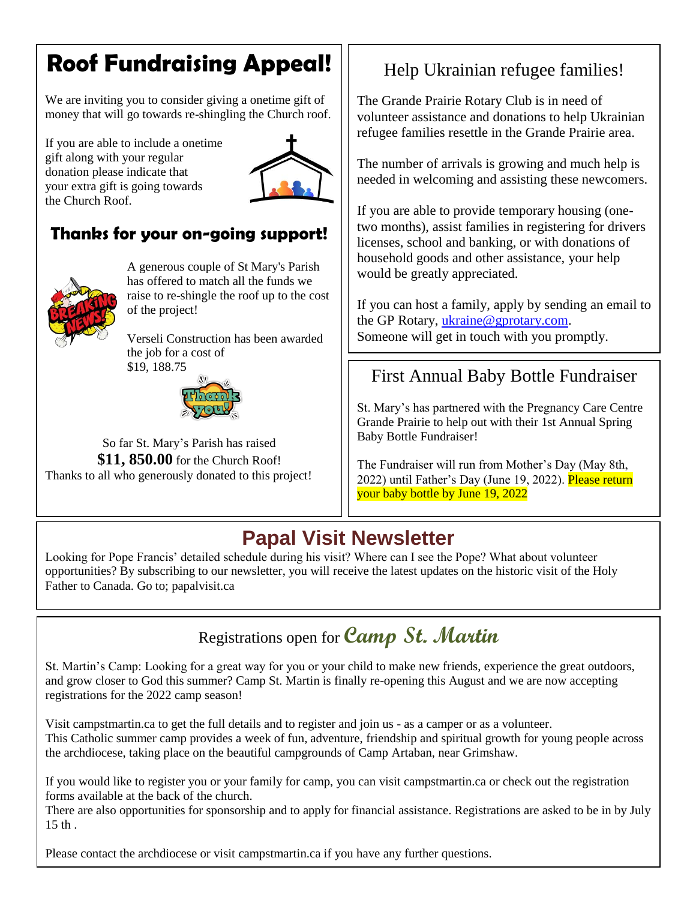# **Roof Fundraising Appeal!**

We are inviting you to consider giving a onetime gift of money that will go towards re-shingling the Church roof.

If you are able to include a onetime gift along with your regular donation please indicate that your extra gift is going towards the Church Roof.



## **Thanks for your on-going support!**



A generous couple of St Mary's Parish has offered to match all the funds we raise to re-shingle the roof up to the cost of the project!

Verseli Construction has been awarded the job for a cost of \$19, 188.75



So far St. Mary's Parish has raised **\$11, 850.00** for the Church Roof! Thanks to all who generously donated to this project!

# Help Ukrainian refugee families!

The Grande Prairie Rotary Club is in need of volunteer assistance and donations to help Ukrainian refugee families resettle in the Grande Prairie area.

The number of arrivals is growing and much help is needed in welcoming and assisting these newcomers.

If you are able to provide temporary housing (onetwo months), assist families in registering for drivers licenses, school and banking, or with donations of household goods and other assistance, your help would be greatly appreciated.

If you can host a family, apply by sending an email to the GP Rotary, [ukraine@gprotary.com.](mailto:ukraine@gprotary.com) Someone will get in touch with you promptly.

## First Annual Baby Bottle Fundraiser

St. Mary's has partnered with the Pregnancy Care Centre Grande Prairie to help out with their 1st Annual Spring Baby Bottle Fundraiser!

The Fundraiser will run from Mother's Day (May 8th, 2022) until Father's Day (June 19, 2022). Please return your baby bottle by June 19, 2022

# **Papal Visit Newsletter**

Looking for Pope Francis' detailed schedule during his visit? Where can I see the Pope? What about volunteer opportunities? By subscribing to our newsletter, you will receive the latest updates on the historic visit of the Holy Father to Canada. Go to; papalvisit.ca



St. Martin's Camp: Looking for a great way for you or your child to make new friends, experience the great outdoors, and grow closer to God this summer? Camp St. Martin is finally re-opening this August and we are now accepting registrations for the 2022 camp season!

Visit campstmartin.ca to get the full details and to register and join us - as a camper or as a volunteer. This Catholic summer camp provides a week of fun, adventure, friendship and spiritual growth for young people across the archdiocese, taking place on the beautiful campgrounds of Camp Artaban, near Grimshaw.

If you would like to register you or your family for camp, you can visit campstmartin.ca or check out the registration forms available at the back of the church.

There are also opportunities for sponsorship and to apply for financial assistance. Registrations are asked to be in by July 15 th .

Please contact the archdiocese or visit campstmartin.ca if you have any further questions.